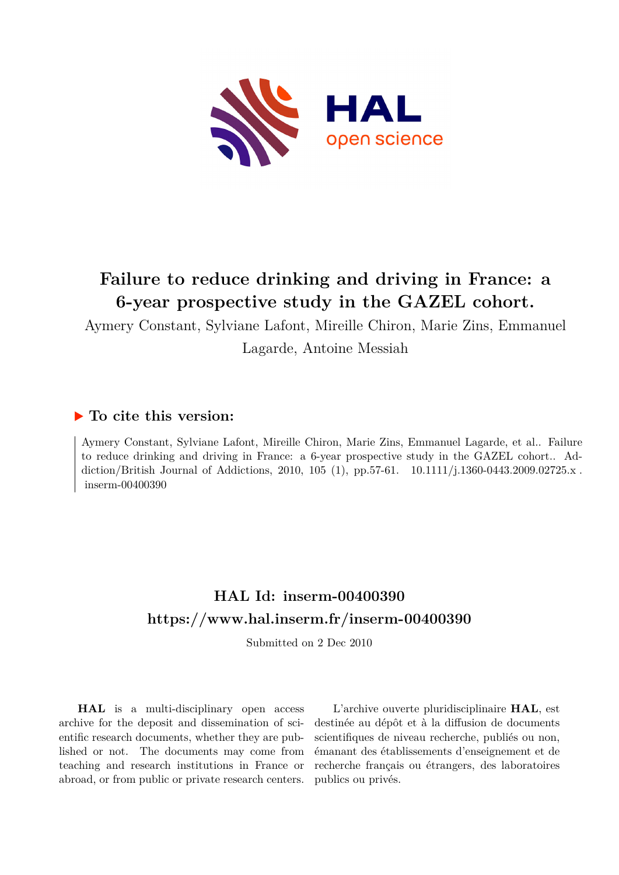

# **Failure to reduce drinking and driving in France: a 6-year prospective study in the GAZEL cohort.**

Aymery Constant, Sylviane Lafont, Mireille Chiron, Marie Zins, Emmanuel Lagarde, Antoine Messiah

### **To cite this version:**

Aymery Constant, Sylviane Lafont, Mireille Chiron, Marie Zins, Emmanuel Lagarde, et al.. Failure to reduce drinking and driving in France: a 6-year prospective study in the GAZEL cohort.. Addiction/British Journal of Addictions, 2010, 105 (1), pp.57-61.  $10.1111/j.1360-0443.2009.02725.x$ .  $inserm-00400390$ 

## **HAL Id: inserm-00400390 <https://www.hal.inserm.fr/inserm-00400390>**

Submitted on 2 Dec 2010

**HAL** is a multi-disciplinary open access archive for the deposit and dissemination of scientific research documents, whether they are published or not. The documents may come from teaching and research institutions in France or abroad, or from public or private research centers.

L'archive ouverte pluridisciplinaire **HAL**, est destinée au dépôt et à la diffusion de documents scientifiques de niveau recherche, publiés ou non, émanant des établissements d'enseignement et de recherche français ou étrangers, des laboratoires publics ou privés.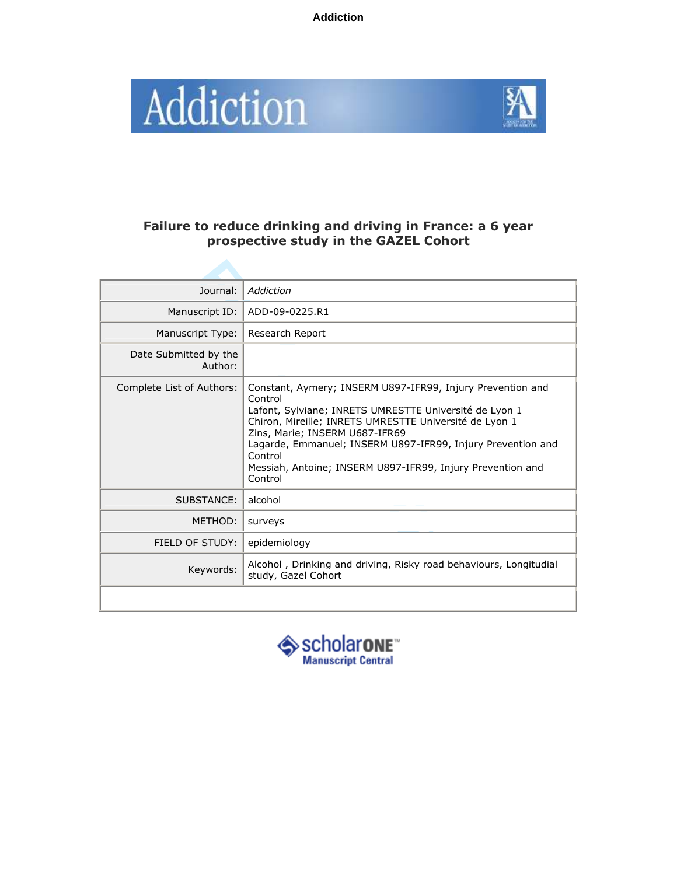**Addiction**





### Failure to reduce drinking and driving in France: a 6 year prospective study in the GAZEL Cohort

| Journal:                         | Addiction                                                                                                                                                                                                                                                                                                                                                                      |
|----------------------------------|--------------------------------------------------------------------------------------------------------------------------------------------------------------------------------------------------------------------------------------------------------------------------------------------------------------------------------------------------------------------------------|
| Manuscript ID:                   | ADD-09-0225.R1                                                                                                                                                                                                                                                                                                                                                                 |
| Manuscript Type:                 | Research Report                                                                                                                                                                                                                                                                                                                                                                |
| Date Submitted by the<br>Author: |                                                                                                                                                                                                                                                                                                                                                                                |
| Complete List of Authors:        | Constant, Aymery; INSERM U897-IFR99, Injury Prevention and<br>Control<br>Lafont, Sylviane; INRETS UMRESTTE Université de Lyon 1<br>Chiron, Mireille; INRETS UMRESTTE Université de Lyon 1<br>Zins, Marie; INSERM U687-IFR69<br>Lagarde, Emmanuel; INSERM U897-IFR99, Injury Prevention and<br>Control<br>Messiah, Antoine; INSERM U897-IFR99, Injury Prevention and<br>Control |
| SUBSTANCE:                       | alcohol                                                                                                                                                                                                                                                                                                                                                                        |
| MFTHOD:                          | surveys                                                                                                                                                                                                                                                                                                                                                                        |
| FIELD OF STUDY:                  | epidemiology                                                                                                                                                                                                                                                                                                                                                                   |
| Keywords:                        | Alcohol, Drinking and driving, Risky road behaviours, Longitudial<br>study, Gazel Cohort                                                                                                                                                                                                                                                                                       |
|                                  |                                                                                                                                                                                                                                                                                                                                                                                |

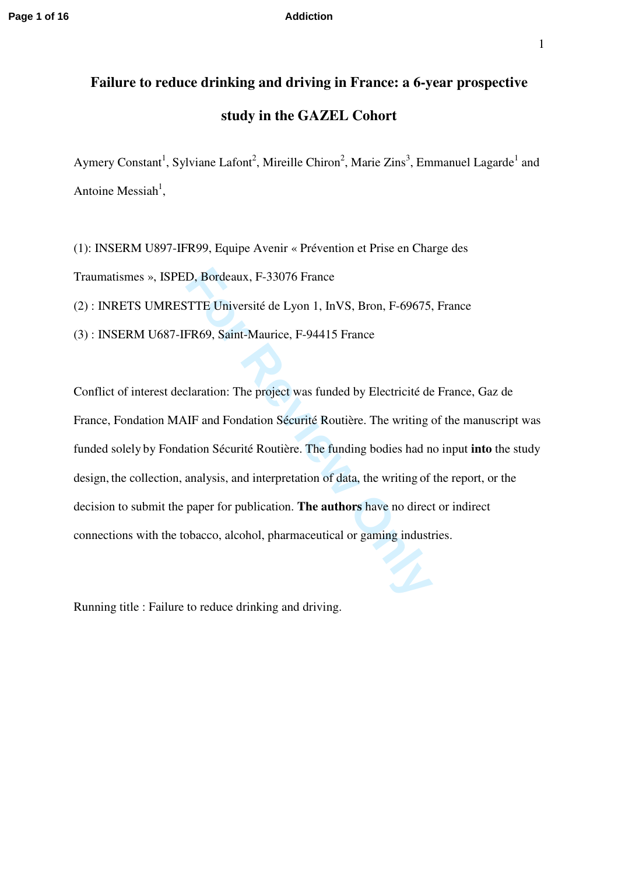# **Failure to reduce drinking and driving in France: a 6-year prospective study in the GAZEL Cohort**

Aymery Constant<sup>1</sup>, Sylviane Lafont<sup>2</sup>, Mireille Chiron<sup>2</sup>, Marie Zins<sup>3</sup>, Emmanuel Lagarde<sup>1</sup> and Antoine Messiah<sup>1</sup>,

(1): INSERM U897-IFR99, Equipe Avenir « Prévention et Prise en Charge des Traumatismes », ISPED, Bordeaux, F-33076 France

(2) : INRETS UMRESTTE Université de Lyon 1, InVS, Bron, F-69675, France

(3) : INSERM U687-IFR69, Saint-Maurice, F-94415 France

**For Review Only** Conflict of interest declaration: The project was funded by Electricité de France, Gaz de France, Fondation MAIF and Fondation Sécurité Routière. The writing of the manuscript was funded solely by Fondation Sécurité Routière. The funding bodies had no input **into** the study design, the collection, analysis, and interpretation of data, the writing of the report, or the decision to submit the paper for publication. **The authors** have no direct or indirect connections with the tobacco, alcohol, pharmaceutical or gaming industries.

Running title : Failure to reduce drinking and driving.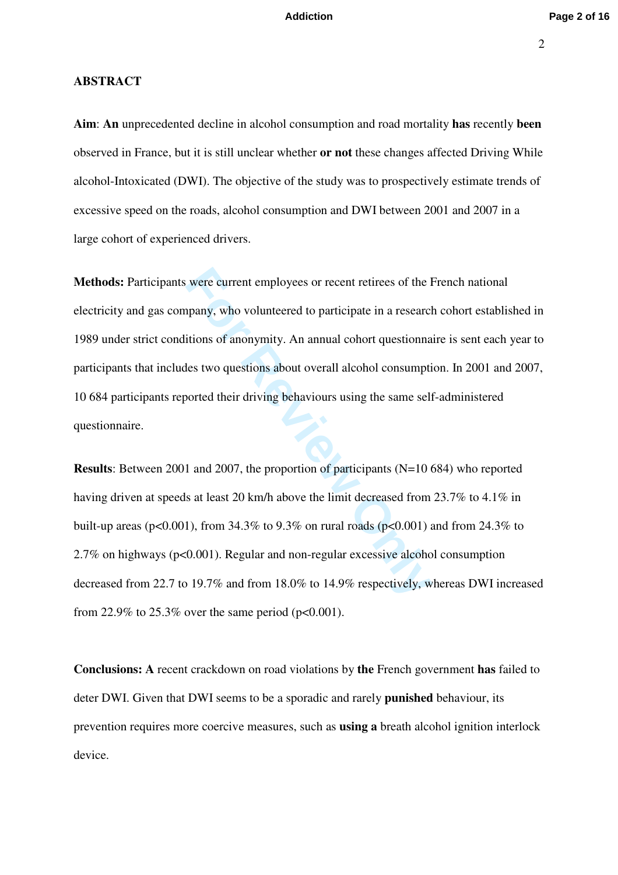### **ABSTRACT**

**Aim**: **An** unprecedented decline in alcohol consumption and road mortality **has** recently **been** observed in France, but it is still unclear whether **or not** these changes affected Driving While alcohol-Intoxicated (DWI). The objective of the study was to prospectively estimate trends of excessive speed on the roads, alcohol consumption and DWI between 2001 and 2007 in a large cohort of experienced drivers.

were current employees or recent retirees of the H<br>npany, who volunteered to participate in a research<br>itions of anonymity. An annual cohort questionna<br>les two questions about overall alcohol consumpti<br>oorted their drivin **Methods:** Participants were current employees or recent retirees of the French national electricity and gas company, who volunteered to participate in a research cohort established in 1989 under strict conditions of anonymity. An annual cohort questionnaire is sent each year to participants that includes two questions about overall alcohol consumption. In 2001 and 2007, 10 684 participants reported their driving behaviours using the same self-administered questionnaire.

**Results**: Between 2001 and 2007, the proportion of participants (N=10 684) who reported having driven at speeds at least 20 km/h above the limit decreased from 23.7% to 4.1% in built-up areas ( $p<0.001$ ), from 34.3% to 9.3% on rural roads ( $p<0.001$ ) and from 24.3% to 2.7% on highways (p<0.001). Regular and non-regular excessive alcohol consumption decreased from 22.7 to 19.7% and from 18.0% to 14.9% respectively, whereas DWI increased from 22.9% to 25.3% over the same period ( $p<0.001$ ).

**Conclusions: A** recent crackdown on road violations by **the** French government **has** failed to deter DWI. Given that DWI seems to be a sporadic and rarely **punished** behaviour, its prevention requires more coercive measures, such as **using a** breath alcohol ignition interlock device.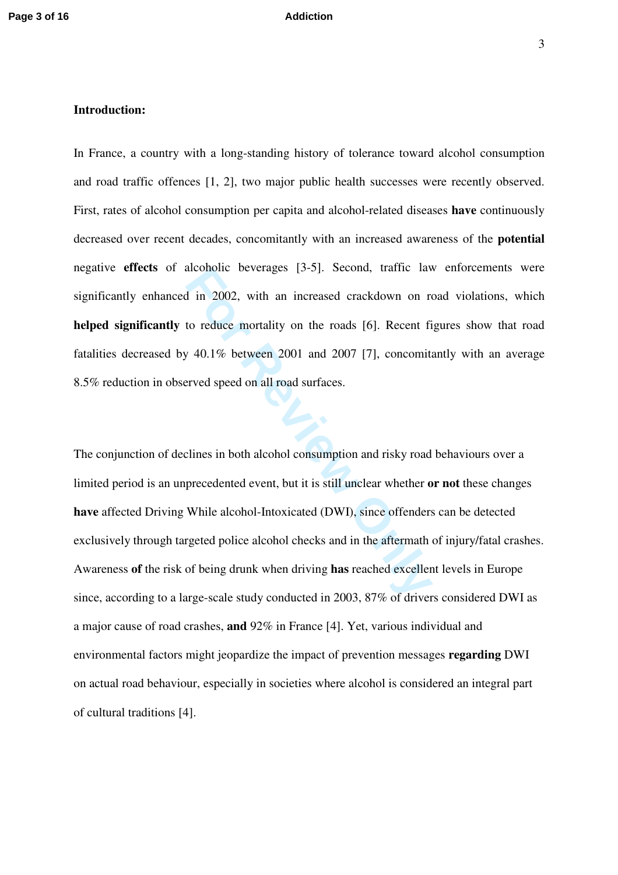### **Introduction:**

In France, a country with a long-standing history of tolerance toward alcohol consumption and road traffic offences [1, 2], two major public health successes were recently observed. First, rates of alcohol consumption per capita and alcohol-related diseases **have** continuously decreased over recent decades, concomitantly with an increased awareness of the **potential** negative **effects** of alcoholic beverages [3-5]. Second, traffic law enforcements were significantly enhanced in 2002, with an increased crackdown on road violations, which **helped significantly** to reduce mortality on the roads [6]. Recent figures show that road fatalities decreased by 40.1% between 2001 and 2007 [7], concomitantly with an average 8.5% reduction in observed speed on all road surfaces.

alconoic beverages [5-5]. Second, traffic law<br>
1 in 2002, with an increased crackdown on re<br>
to reduce mortality on the roads [6]. Recent fi<br>
7 40.1% between 2001 and 2007 [7], concomitative<br>
reved speed on all road surfac The conjunction of declines in both alcohol consumption and risky road behaviours over a limited period is an unprecedented event, but it is still unclear whether **or not** these changes **have** affected Driving While alcohol-Intoxicated (DWI), since offenders can be detected exclusively through targeted police alcohol checks and in the aftermath of injury/fatal crashes. Awareness **of** the risk of being drunk when driving **has** reached excellent levels in Europe since, according to a large-scale study conducted in 2003, 87% of drivers considered DWI as a major cause of road crashes, **and** 92% in France [4]. Yet, various individual and environmental factors might jeopardize the impact of prevention messages **regarding** DWI on actual road behaviour, especially in societies where alcohol is considered an integral part of cultural traditions [4].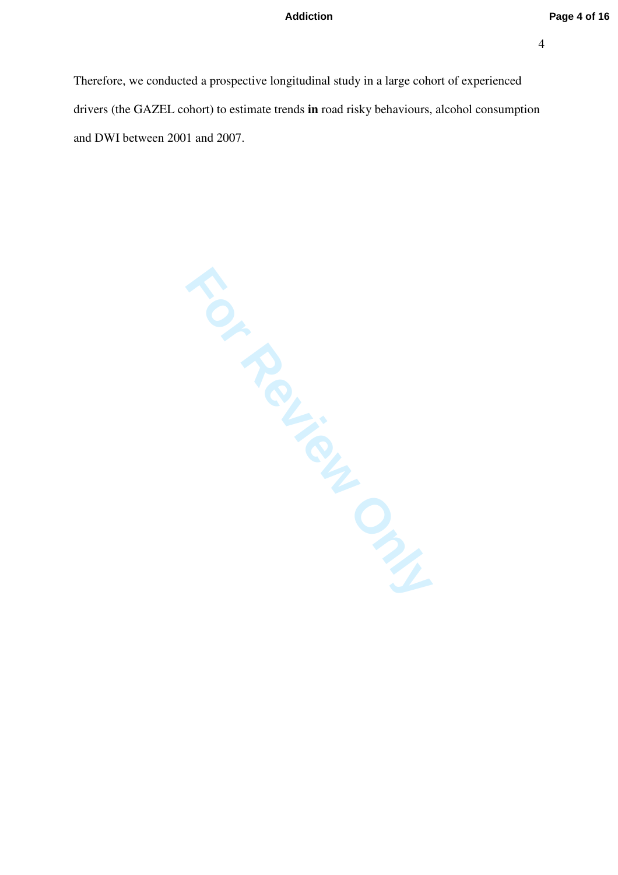Therefore, we conducted a prospective longitudinal study in a large cohort of experienced drivers (the GAZEL cohort) to estimate trends **in** road risky behaviours, alcohol consumption and DWI between 2001 and 2007.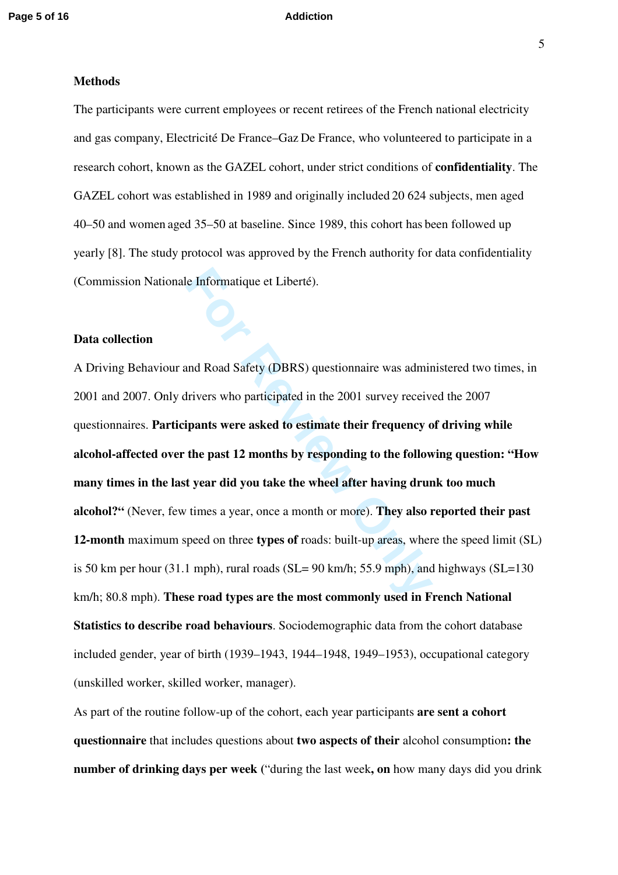### **Methods**

The participants were current employees or recent retirees of the French national electricity and gas company, Electricité De France–Gaz De France, who volunteered to participate in a research cohort, known as the GAZEL cohort, under strict conditions of **confidentiality**. The GAZEL cohort was established in 1989 and originally included 20 624 subjects, men aged 40–50 and women aged 35–50 at baseline. Since 1989, this cohort has been followed up yearly [8]. The study protocol was approved by the French authority for data confidentiality (Commission Nationale Informatique et Liberté).

### **Data collection**

le Informatique et Liberté).<br>
and Road Safety (DBRS) questionnaire was admin<br>
frivers who participated in the 2001 survey receive<br> **For Format Soft School survey and Soft School survey are asked to estimate their frequency** A Driving Behaviour and Road Safety (DBRS) questionnaire was administered two times, in 2001 and 2007. Only drivers who participated in the 2001 survey received the 2007 questionnaires. **Participants were asked to estimate their frequency of driving while alcohol-affected over the past 12 months by responding to the following question: "How many times in the last year did you take the wheel after having drunk too much alcohol?"** (Never, few times a year, once a month or more). **They also reported their past 12-month** maximum speed on three **types of** roads: built-up areas, where the speed limit (SL) is 50 km per hour (31.1 mph), rural roads ( $SL = 90$  km/h; 55.9 mph), and highways ( $SL = 130$ km/h; 80.8 mph). **These road types are the most commonly used in French National Statistics to describe road behaviours**. Sociodemographic data from the cohort database included gender, year of birth (1939–1943, 1944–1948, 1949–1953), occupational category (unskilled worker, skilled worker, manager).

As part of the routine follow-up of the cohort, each year participants **are sent a cohort questionnaire** that includes questions about **two aspects of their** alcohol consumption**: the number of drinking days per week (**"during the last week**, on** how many days did you drink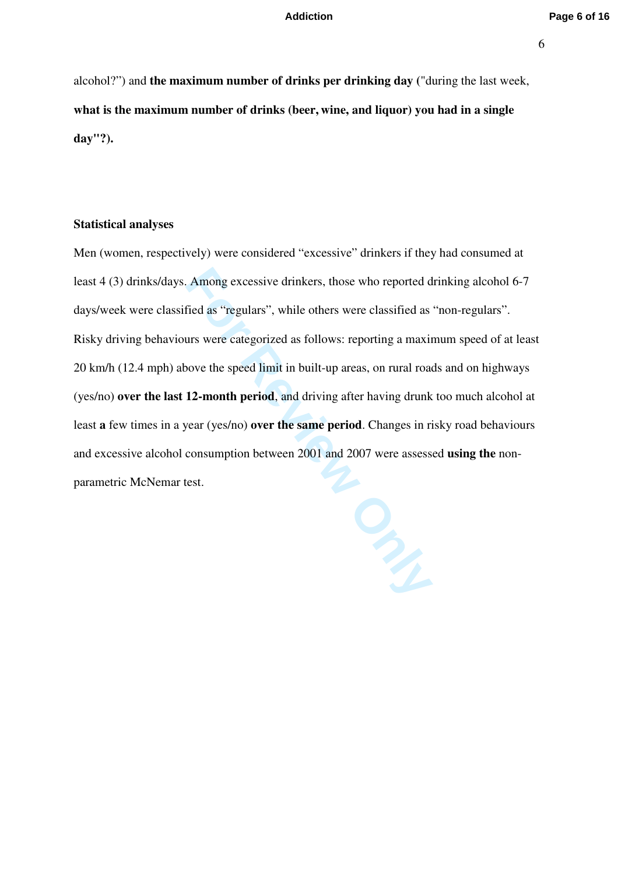alcohol?") and **the maximum number of drinks per drinking day (**"during the last week, **what is the maximum number of drinks (beer, wine, and liquor) you had in a single day"?).**

### **Statistical analyses**

Among excessive drinkers, those who reported d<br>fied as "regulars", while others were classified as<br>urs were categorized as follows: reporting a maxin<br>ove the speed limit in built-up areas, on rural road<br>12-month period, an Men (women, respectively) were considered "excessive" drinkers if they had consumed at least 4 (3) drinks/days. Among excessive drinkers, those who reported drinking alcohol 6-7 days/week were classified as "regulars", while others were classified as "non-regulars". Risky driving behaviours were categorized as follows: reporting a maximum speed of at least 20 km/h (12.4 mph) above the speed limit in built-up areas, on rural roads and on highways (yes/no) **over the last 12-month period**, and driving after having drunk too much alcohol at least **a** few times in a year (yes/no) **over the same period**. Changes in risky road behaviours and excessive alcohol consumption between 2001 and 2007 were assessed **using the** nonparametric McNemar test.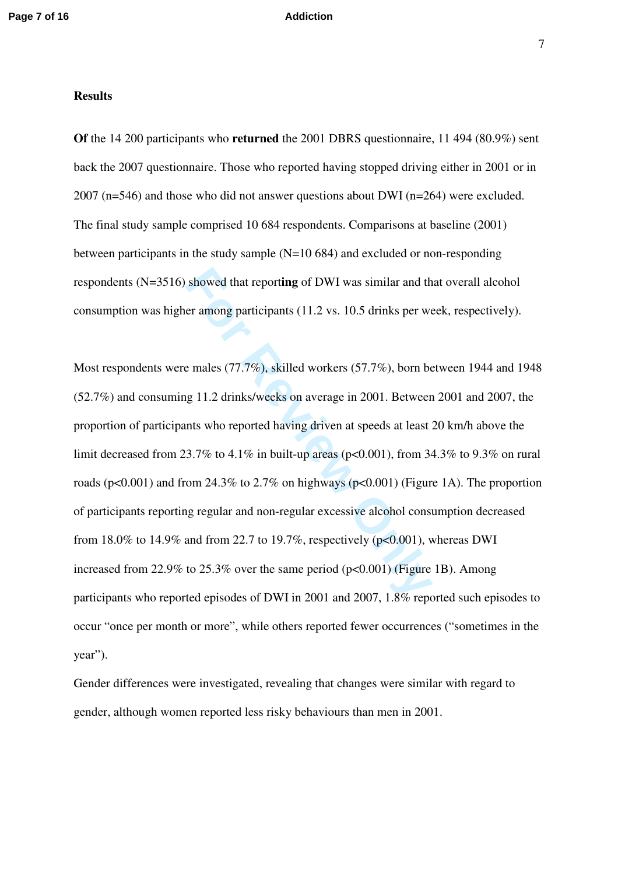### **Results**

**Of** the 14 200 participants who **returned** the 2001 DBRS questionnaire, 11 494 (80.9%) sent back the 2007 questionnaire. Those who reported having stopped driving either in 2001 or in 2007 (n=546) and those who did not answer questions about DWI (n=264) were excluded. The final study sample comprised 10 684 respondents. Comparisons at baseline (2001) between participants in the study sample  $(N=10 684)$  and excluded or non-responding respondents (N=3516) showed that report**ing** of DWI was similar and that overall alcohol consumption was higher among participants (11.2 vs. 10.5 drinks per week, respectively).

showed that reporting of DWI was similar and th<br>er among participants (11.2 vs. 10.5 drinks per we<br>e males (77.7%), skilled workers (57.7%), born be<br>g 11.2 drinks/weeks on average in 2001. Between<br>nts who reported having Most respondents were males (77.7%), skilled workers (57.7%), born between 1944 and 1948 (52.7%) and consuming 11.2 drinks/weeks on average in 2001. Between 2001 and 2007, the proportion of participants who reported having driven at speeds at least 20 km/h above the limit decreased from 23.7% to 4.1% in built-up areas ( $p<0.001$ ), from 34.3% to 9.3% on rural roads ( $p<0.001$ ) and from 24.3% to 2.7% on highways ( $p<0.001$ ) (Figure 1A). The proportion of participants reporting regular and non-regular excessive alcohol consumption decreased from 18.0% to 14.9% and from 22.7 to 19.7%, respectively ( $p<0.001$ ), whereas DWI increased from 22.9% to 25.3% over the same period  $(p<0.001)$  (Figure 1B). Among participants who reported episodes of DWI in 2001 and 2007, 1.8% reported such episodes to occur "once per month or more", while others reported fewer occurrences ("sometimes in the year").

Gender differences were investigated, revealing that changes were similar with regard to gender, although women reported less risky behaviours than men in 2001.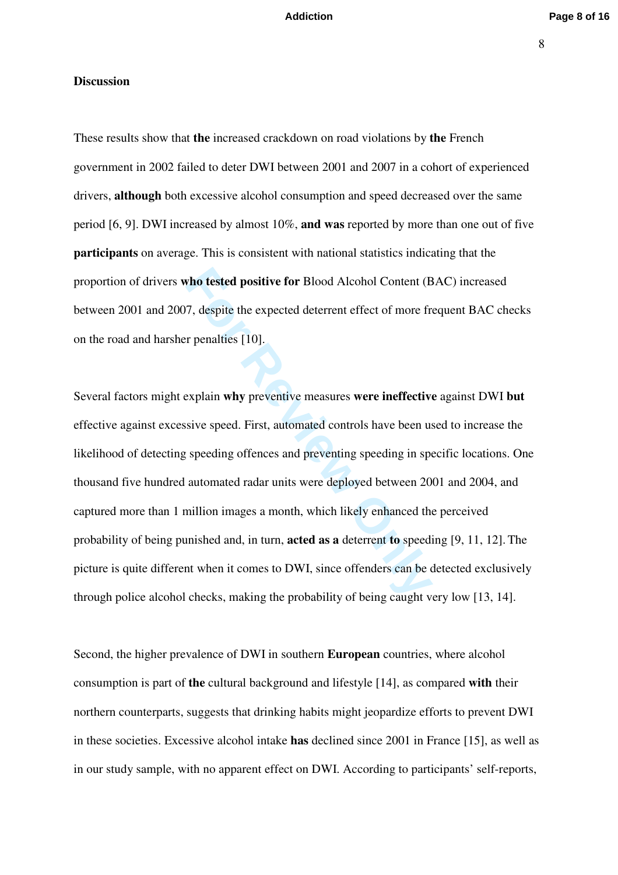### **Discussion**

These results show that **the** increased crackdown on road violations by **the** French government in 2002 failed to deter DWI between 2001 and 2007 in a cohort of experienced drivers, **although** both excessive alcohol consumption and speed decreased over the same period [6, 9]. DWI increased by almost 10%, **and was** reported by more than one out of five **participants** on average. This is consistent with national statistics indicating that the proportion of drivers **who tested positive for** Blood Alcohol Content (BAC) increased between 2001 and 2007, despite the expected deterrent effect of more frequent BAC checks on the road and harsher penalties [10].

**Follow Example 10 Follow Alcohol Content (B**<br> **Follow Alcohol Content (B**<br> **Follow Explain why preventive measures were ineffective**<br> **Explain why preventive measures were ineffective**<br>
sive speed. First, automated contro Several factors might explain **why** preventive measures **were ineffective** against DWI **but**  effective against excessive speed. First, automated controls have been used to increase the likelihood of detecting speeding offences and preventing speeding in specific locations. One thousand five hundred automated radar units were deployed between 2001 and 2004, and captured more than 1 million images a month, which likely enhanced the perceived probability of being punished and, in turn, **acted as a** deterrent **to** speeding [9, 11, 12]. The picture is quite different when it comes to DWI, since offenders can be detected exclusively through police alcohol checks, making the probability of being caught very low [13, 14].

Second, the higher prevalence of DWI in southern **European** countries, where alcohol consumption is part of **the** cultural background and lifestyle [14], as compared **with** their northern counterparts, suggests that drinking habits might jeopardize efforts to prevent DWI in these societies. Excessive alcohol intake **has** declined since 2001 in France [15], as well as in our study sample, with no apparent effect on DWI. According to participants' self-reports,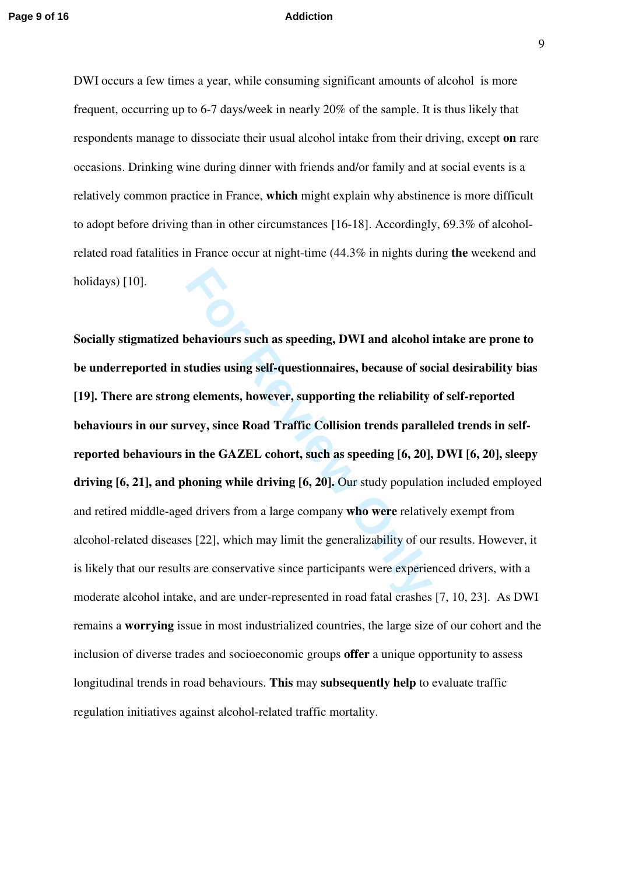DWI occurs a few times a year, while consuming significant amounts of alcohol is more frequent, occurring up to 6-7 days/week in nearly 20% of the sample. It is thus likely that respondents manage to dissociate their usual alcohol intake from their driving, except **on** rare occasions. Drinking wine during dinner with friends and/or family and at social events is a relatively common practice in France, **which** might explain why abstinence is more difficult to adopt before driving than in other circumstances [16-18]. Accordingly, 69.3% of alcoholrelated road fatalities in France occur at night-time (44.3% in nights during **the** weekend and holidays) [10].

**Formal Set Algorithm and Set Algorithm Set Algorithm Set Algorithm Studies using self-questionnaires, because of socal set and selections are Road Traffic Collision trends parall in the GAZEL cohort, such as speeding [6, Socially stigmatized behaviours such as speeding, DWI and alcohol intake are prone to be underreported in studies using self-questionnaires, because of social desirability bias [19]. There are strong elements, however, supporting the reliability of self-reported behaviours in our survey, since Road Traffic Collision trends paralleled trends in selfreported behaviours in the GAZEL cohort, such as speeding [6, 20], DWI [6, 20], sleepy driving [6, 21], and phoning while driving [6, 20].** Our study population included employed and retired middle-aged drivers from a large company **who were** relatively exempt from alcohol-related diseases [22], which may limit the generalizability of our results. However, it is likely that our results are conservative since participants were experienced drivers, with a moderate alcohol intake, and are under-represented in road fatal crashes [7, 10, 23]. As DWI remains a **worrying** issue in most industrialized countries, the large size of our cohort and the inclusion of diverse trades and socioeconomic groups **offer** a unique opportunity to assess longitudinal trends in road behaviours. **This** may **subsequently help** to evaluate traffic regulation initiatives against alcohol-related traffic mortality.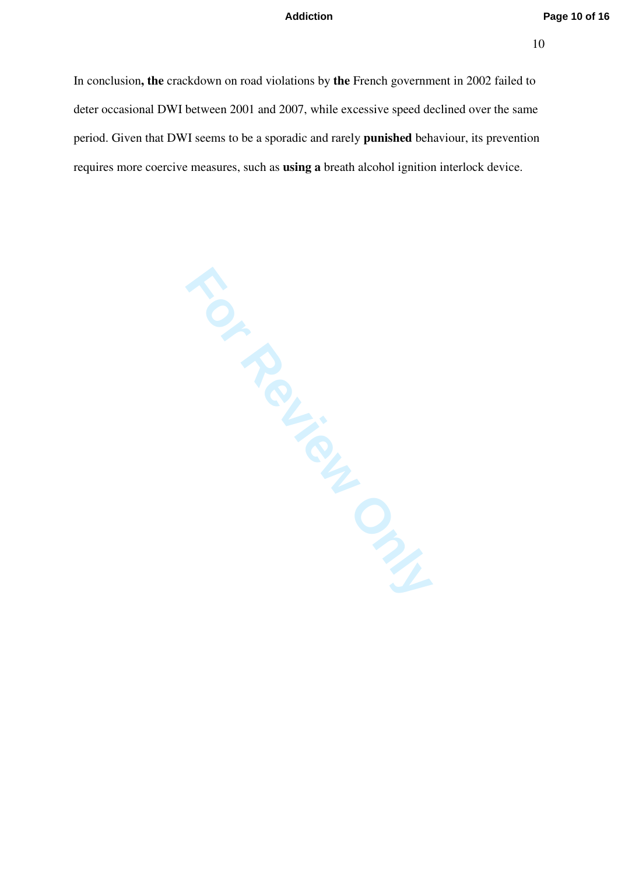In conclusion**, the** crackdown on road violations by **the** French government in 2002 failed to deter occasional DWI between 2001 and 2007, while excessive speed declined over the same period. Given that DWI seems to be a sporadic and rarely **punished** behaviour, its prevention requires more coercive measures, such as **using a** breath alcohol ignition interlock device.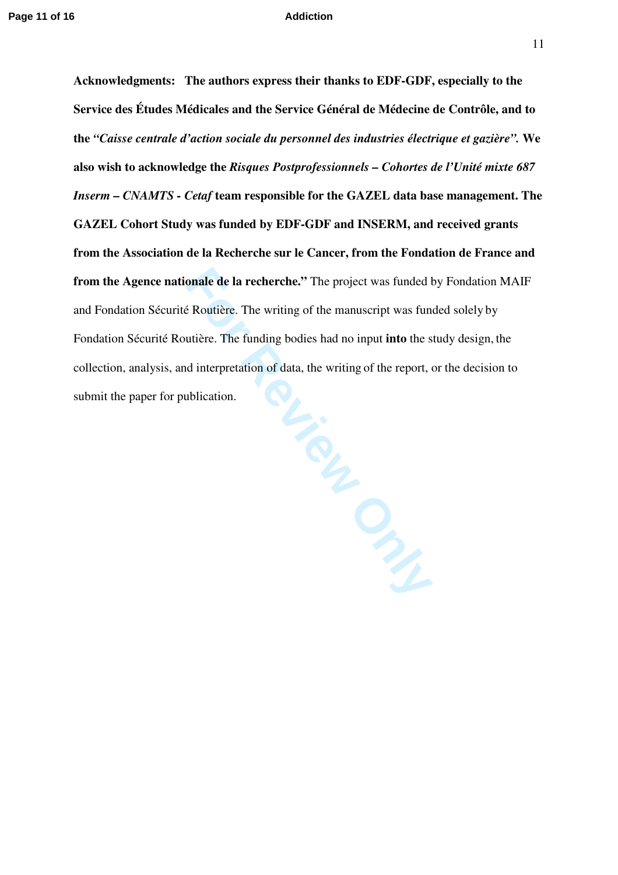**Acknowledgments: The authors express their thanks to EDF-GDF, especially to the Service des Études Médicales and the Service Général de Médecine de Contrôle, and to the** *"Caisse centrale d'action sociale du personnel des industries électrique et gazière".* **We also wish to acknowledge the** *Risques Postprofessionnels – Cohortes de l'Unité mixte 687 Inserm – CNAMTS - Cetaf* **team responsible for the GAZEL data base management. The GAZEL Cohort Study was funded by EDF-GDF and INSERM, and received grants from the Association de la Recherche sur le Cancer, from the Fondation de France and from the Agence nationale de la recherche."** The project was funded by Fondation MAIF and Fondation Sécurité Routière. The writing of the manuscript was funded solely by Fondation Sécurité Routière. The funding bodies had no input **into** the study design, the collection, analysis, and interpretation of data, the writing of the report, or the decision to submit the paper for publication.

For Review Only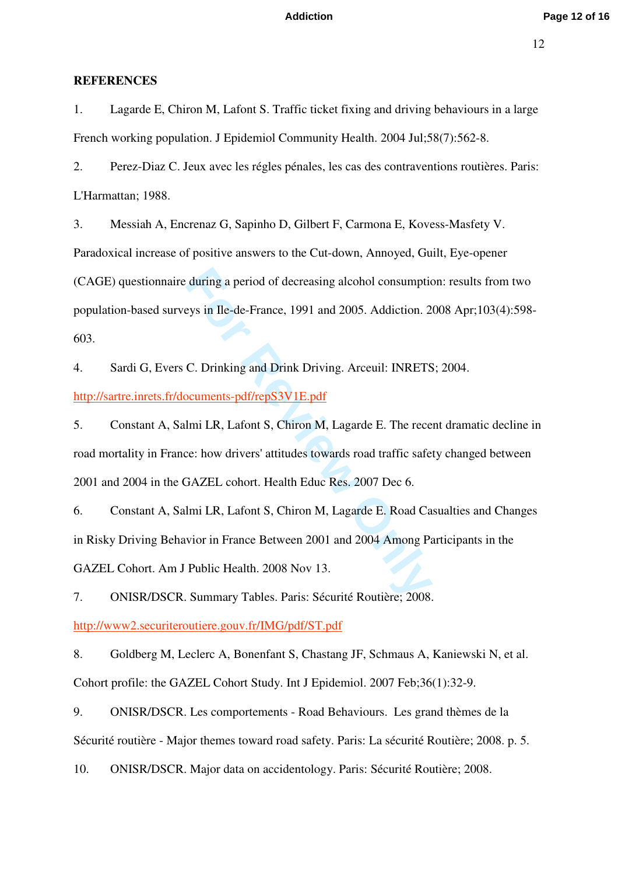### **REFERENCES**

1. Lagarde E, Chiron M, Lafont S. Traffic ticket fixing and driving behaviours in a large French working population. J Epidemiol Community Health. 2004 Jul;58(7):562-8.

2. Perez-Diaz C. Jeux avec les régles pénales, les cas des contraventions routières. Paris: L'Harmattan; 1988.

during a period of decreasing alcohol consumptic<br>eys in Ile-de-France, 1991 and 2005. Addiction. 2<br>C. Drinking and Drink Driving. Arceuil: INRETS<br><u>peuments-pdf/repS3V1E.pdf</u><br>lmi LR, Lafont S, Chiron M, Lagarde E. The rece<br> 3. Messiah A, Encrenaz G, Sapinho D, Gilbert F, Carmona E, Kovess-Masfety V. Paradoxical increase of positive answers to the Cut-down, Annoyed, Guilt, Eye-opener (CAGE) questionnaire during a period of decreasing alcohol consumption: results from two population-based surveys in Ile-de-France, 1991 and 2005. Addiction. 2008 Apr;103(4):598- 603.

4. Sardi G, Evers C. Drinking and Drink Driving. Arceuil: INRETS; 2004. <http://sartre.inrets.fr/documents-pdf/repS3V1E.pdf>

5. Constant A, Salmi LR, Lafont S, Chiron M, Lagarde E. The recent dramatic decline in road mortality in France: how drivers' attitudes towards road traffic safety changed between 2001 and 2004 in the GAZEL cohort. Health Educ Res. 2007 Dec 6.

6. Constant A, Salmi LR, Lafont S, Chiron M, Lagarde E. Road Casualties and Changes in Risky Driving Behavior in France Between 2001 and 2004 Among Participants in the GAZEL Cohort. Am J Public Health. 2008 Nov 13.

7. ONISR/DSCR. Summary Tables. Paris: Sécurité Routière; 2008.

<http://www2.securiteroutiere.gouv.fr/IMG/pdf/ST.pdf>

8. Goldberg M, Leclerc A, Bonenfant S, Chastang JF, Schmaus A, Kaniewski N, et al. Cohort profile: the GAZEL Cohort Study. Int J Epidemiol. 2007 Feb;36(1):32-9.

9. ONISR/DSCR. Les comportements - Road Behaviours. Les grand thèmes de la Sécurité routière - Major themes toward road safety. Paris: La sécurité Routière; 2008. p. 5.

10. ONISR/DSCR. Major data on accidentology. Paris: Sécurité Routière; 2008.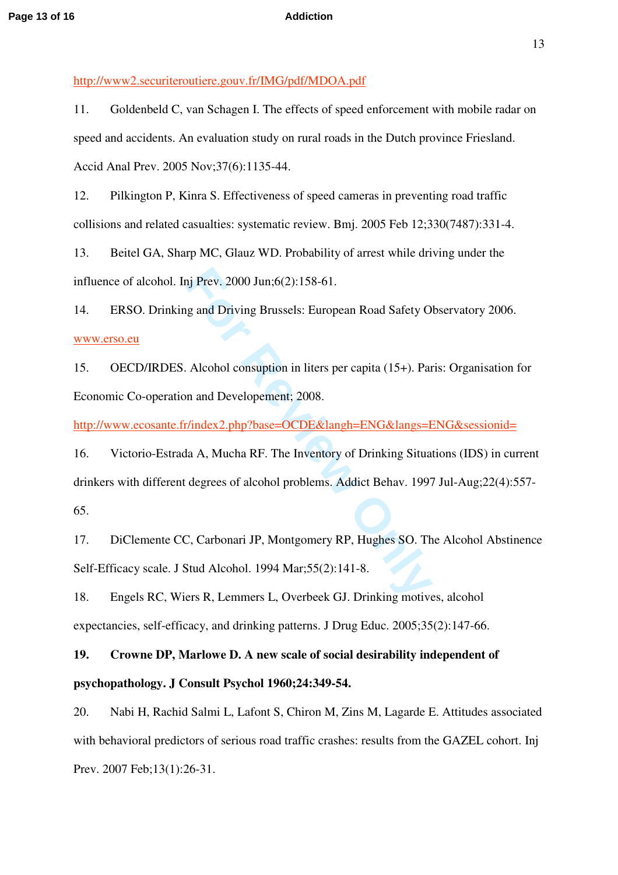<http://www2.securiteroutiere.gouv.fr/IMG/pdf/MDOA.pdf>

11. Goldenbeld C, van Schagen I. The effects of speed enforcement with mobile radar on speed and accidents. An evaluation study on rural roads in the Dutch province Friesland. Accid Anal Prev. 2005 Nov;37(6):1135-44.

12. Pilkington P, Kinra S. Effectiveness of speed cameras in preventing road traffic collisions and related casualties: systematic review. Bmj. 2005 Feb 12;330(7487):331-4.

13. Beitel GA, Sharp MC, Glauz WD. Probability of arrest while driving under the influence of alcohol. Inj Prev. 2000 Jun;6(2):158-61.

14. ERSO. Drinking and Driving Brussels: European Road Safety Observatory 2006. [www.erso.eu](http://www.erso.eu/)

15. OECD/IRDES. Alcohol consuption in liters per capita (15+). Paris: Organisation for Economic Co-operation and Developement; 2008.

<http://www.ecosante.fr/index2.php?base=OCDE&langh=ENG&langs=ENG&sessionid=>

nj Prev. 2000 Jun;6(2):158-61.<br>
Ig and Driving Brussels: European Road Safety O<br>
Alcohol consuption in liters per capita (15+). Par<br>
In and Developement; 2008.<br>
Findex2.php?base=OCDE&langh=ENG&langs=E<br>
Ia A, Mucha RF. The 16. Victorio-Estrada A, Mucha RF. The Inventory of Drinking Situations (IDS) in current drinkers with different degrees of alcohol problems. Addict Behav. 1997 Jul-Aug;22(4):557 - 65.

17. DiClemente CC, Carbonari JP, Montgomery RP, Hughes SO. The Alcohol Abstinence Self-Efficacy scale. J Stud Alcohol. 1994 Mar;55(2):141-8.

18. Engels RC, Wiers R, Lemmers L, Overbeek GJ. Drinking motives, alcohol expectancies, self-efficacy, and drinking patterns. J Drug Educ. 2005;35(2):147-66.

**19. Crowne DP, Marlowe D. A new scale of social desirability independent of psychopathology. J Consult Psychol 1960;24:349-54.** 

20. Nabi H, Rachid Salmi L, Lafont S, Chiron M, Zins M, Lagarde E. Attitudes associated with behavioral predictors of serious road traffic crashes: results from the GAZEL cohort. Inj Prev. 2007 Feb;13(1):26-31.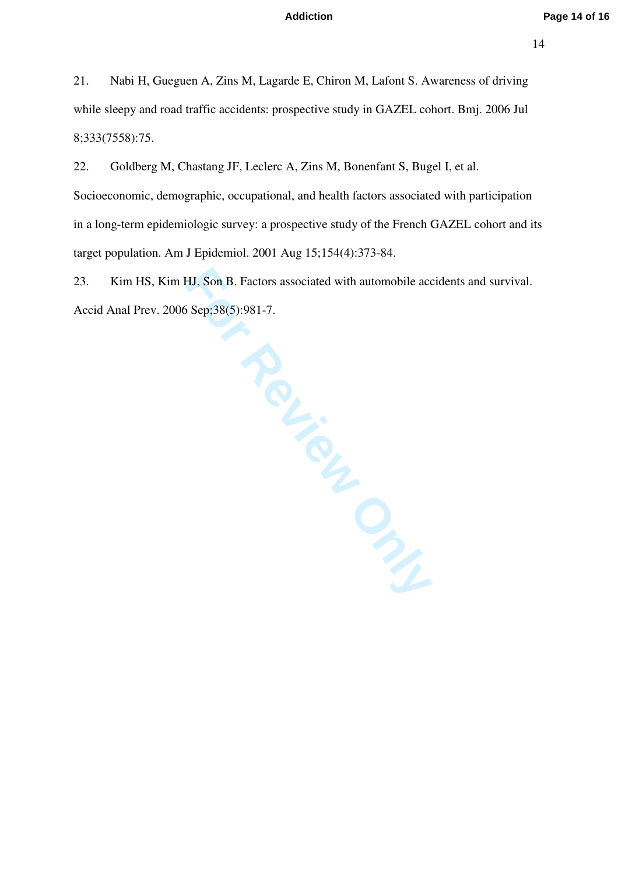21. Nabi H, Gueguen A, Zins M, Lagarde E, Chiron M, Lafont S. Awareness of driving while sleepy and road traffic accidents: prospective study in GAZEL cohort. Bmj. 2006 Jul 8;333(7558):75.

22. Goldberg M, Chastang JF, Leclerc A, Zins M, Bonenfant S, Bugel I, et al. Socioeconomic, demographic, occupational, and health factors associated with participation in a long-term epidemiologic survey: a prospective study of the French GAZEL cohort and its target population. Am J Epidemiol. 2001 Aug 15;154(4):373-84.

23. Kim HS, Kim HJ, Son B. Factors associated with automobile accidents and survival. Accid Anal Prev. 2006 Sep;38(5):981-7.

**France**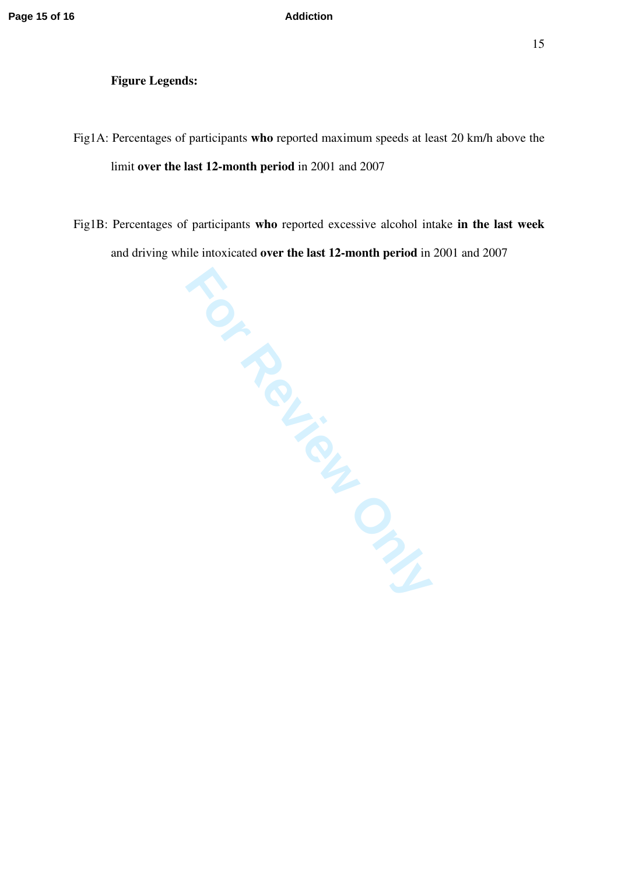### **Figure Legends:**

- Fig1A: Percentages of participants **who** reported maximum speeds at least 20 km/h above the limit **over the last 12-month period** in 2001 and 2007
- Fig1B: Percentages of participants **who** reported excessive alcohol intake **in the last week** and driving while intoxicated **over the last 12-month period** in 2001 and 2007

sipants<br> **FORM**<br>
CHANGLEY